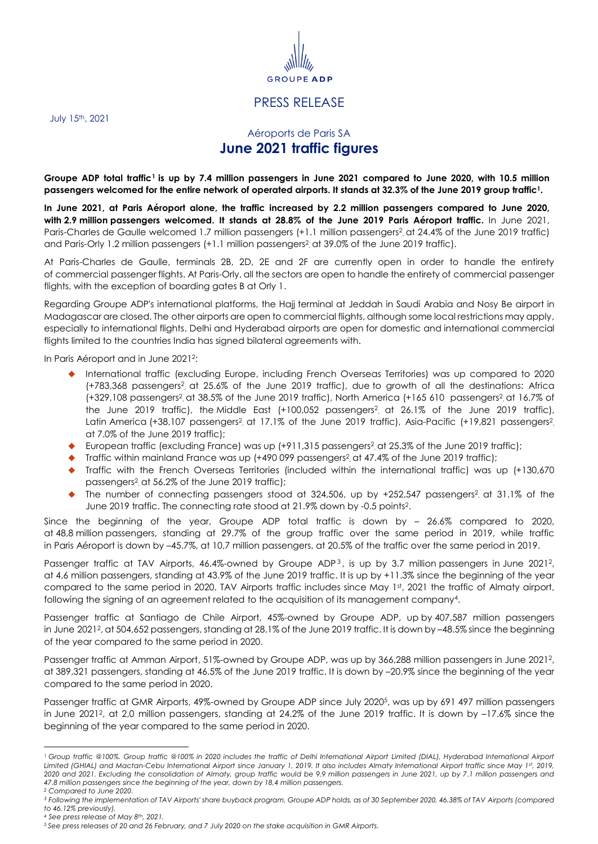

## PRESS RELEASE

July 15 th, 2021

## <span id="page-0-0"></span>Aéroports de Paris SA **June 2021 traffic figures**

**Groupe ADP total traffic<sup>1</sup> is up by 7.4 million passengers in June 2021 compared to June 2020, with 10.5 million passengers welcomed for the entire network of operated airports. It stands at 32.3% of the June 2019 group traffi[c](#page-0-0)<sup>1</sup> .**

**In June 2021, at Paris Aéroport alone, the traffic increased by 2.2 million passengers compared to June 2020, with 2.9 million passengers welcomed. It stands at 28.8% of the June 2019 Paris Aéroport traffic.** In June 2021, Paris-Charles de Gaulle welcomed 1.7 million passengers (+1.1 million passenger[s](#page-0-1)<sup>2</sup> , at 24.4% of the June 2019 traffic) and Paris-Orly 1.[2](#page-0-1) million passengers (+1.1 million passengers<sup>2</sup>, at 39.0% of the June 2019 traffic).

At Paris-Charles de Gaulle, terminals 2B, 2D, 2E and 2F are currently open in order to handle the entirety of commercial passenger flights. At Paris-Orly, all the sectors are open to handle the entirety of commercial passenger flights, with the exception of boarding gates B at Orly 1.

Regarding Groupe ADP's international platforms, the Hajj terminal at Jeddah in Saudi Arabia and Nosy Be airport in Madagascar are closed. The other airports are open to commercial flights, although some local restrictions may apply, especially to international flights. Delhi and Hyderabad airports are open for domestic and international commercial flights limited to the countries India has signed bilateral agreements with.

In Paris Aéroport and in June 2021 2 :

- <span id="page-0-1"></span> International traffic (excluding Europe, including French Overseas Territories) was up compared to 2020 (+783,368 passengers<sup>[2](#page-0-1)</sup>, at 25.6% of the June 2019 traffic), due to growth of all the destinations: Africa (+3[2](#page-0-1)9,108 passengers<sup>2</sup>, at 38.5% of the June 2019 traffic), North America (+165 610 passengers<sup>2</sup>, at 16.7% of the June 2019 traffic), the Middle East (+100,052 passengers[2](#page-0-1) , at 26.1% of the June 2019 traffic), Latin America (+38,107 pa[s](#page-0-1)sengers<sup>[2](#page-0-1)</sup>, at 17.1% of the June 2019 traffic), Asia-Pacific (+19,821 passengers<sup>2</sup>, at 7.0% of the June 2019 traffic);
- ◆ European traffic (excluding France) was up (+911,315 passengers<sup>[2](#page-0-1)</sup>, at 25.3% of the June 2019 traffic);
- $\blacklozenge$  Traffic within mainland France wa[s](#page-0-1) up (+490 099 passengers<sup>2</sup>, at 47.4% of the June 2019 traffic);
- Traffic with the French Overseas Territories (included within the international traffic) was up (+130,670 passengers[2](#page-0-1) , at 56.2% of the June 2019 traffic);
- $\blacklozenge$  The number of connecting pa[s](#page-0-1)sengers stood at 324,506, up by +252,547 passengers<sup>2</sup>, at 31.1% of the June 2019 traffic. The connecting rate stood at 21.9% down by -0.5 point[s](#page-0-1)<sup>2</sup> .

Since the beginning of the year, Groupe ADP total traffic is down by – 26.6% compared to 2020, at 48,8 million passengers, standing at 29.7% of the group traffic over the same period in 2019, while traffic in Paris Aéroport is down by –45.7%, at 10,7 million passengers, at 20.5% of the traffic over the same period in 2019.

Passenger traffic at TAV Airports[,](#page-0-1) 46.4%-owned by Groupe ADP<sup>3</sup>, is up by 3.7 million passengers in June 2021<sup>2</sup>, at 4,6 million passengers, standing at 43.9% of the June 2019 traffic. It is up by +11.3% since the beginning of the year compared to the same period in 2020. TAV Airports traffic includes since May 1st, 2021 the traffic of Almaty airport, following the signing of an agreement related to the acquisition of its management company<sup>4</sup> .

Passenger traffic at Santiago de Chile Airport, 45%-owned by Groupe ADP, up by 407,587 million passengers in June [2](#page-0-1)021<sup>2</sup>, at 504,652 passengers, standing at 28.1% of the June 2019 traffic. It is down by –48.5% since the beginning of the year compared to the same period in 2020.

Passenger traffic at Amman Airport, 51%-owned by Groupe ADP, was up by 366,288 million passengers in June 2021<sup>2</sup> [,](#page-0-1)  at 389,321 passengers, standing at 46.5% of the June 2019 traffic. It is down by –20.9% since the beginning of the year compared to the same period in 2020.

Passenger traffic at GMR Airports, 49%-owned by Groupe ADP since July 2020<sup>5</sup> , was up by 691 497 million passengers in June 202[1](#page-0-1)?, at 2,0 million passengers, standing at 24.2% of the June 2019 traffic. It is down by –17.6% since the beginning of the year compared to the same period in 2020.

l

<sup>&</sup>lt;sup>1</sup> Group traffic @100%. Group traffic @100% in 2020 includes the traffic of Delhi International Airport Limited (DIAL), Hyderabad International Airport *Limited (GHIAL) and Mactan-Cebu International Airport since January 1, 2019. It also includes Almaty International Airport traffic since May 1st , 2019, 2020 and 2021. Excluding the consolidation of Almaty, group traffic would be 9.9 million passengers in June 2021, up by 7.1 million passengers and 47.8 million passengers since the beginning of the year, down by 18,4 million passengers. <sup>2</sup> Compared to June 2020.*

*<sup>3</sup> Following the implementation of TAV Airports' share buyback program, Groupe ADP holds, as of 30 September 2020, 46.38% of TAV Airports (compared to 46.12% previously).*

*<sup>4</sup> See press release of May 8th, 2021.*

*<sup>5</sup> See press releases of 20 and 26 February, and 7 July 2020 on the stake acquisition in GMR Airports.*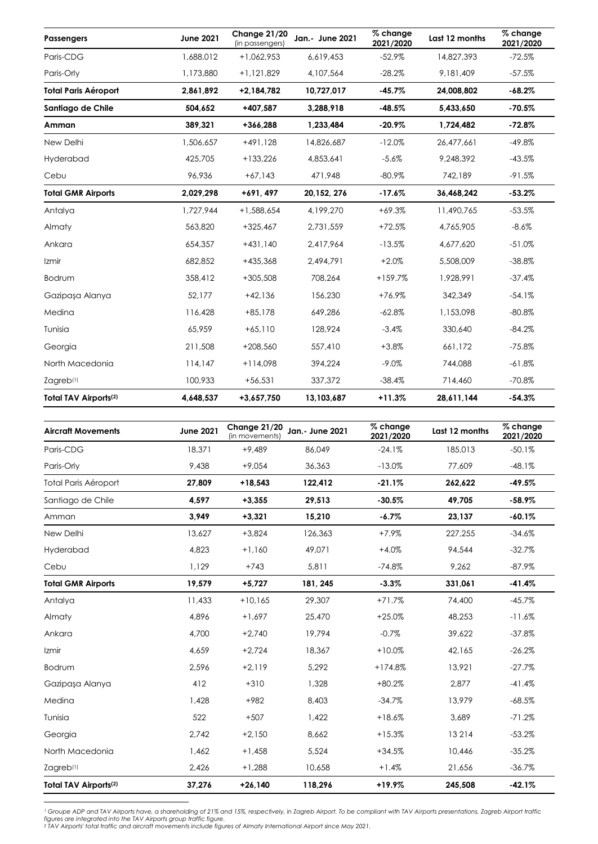| <b>Passengers</b>                 | <b>June 2021</b> | Change 21/20<br>(in passengers) | Jan.- June 2021 | % change<br>2021/2020 | Last 12 months | % change<br>2021/2020 |
|-----------------------------------|------------------|---------------------------------|-----------------|-----------------------|----------------|-----------------------|
| Paris-CDG                         | 1,688,012        | $+1,062,953$                    | 6,619,453       | $-52.9%$              | 14,827,393     | $-72.5%$              |
| Paris-Orly                        | 1,173,880        | $+1,121,829$                    | 4,107,564       | $-28.2%$              | 9,181,409      | $-57.5%$              |
| <b>Total Paris Aéroport</b>       | 2,861,892        | $+2,184,782$                    | 10,727,017      | $-45.7%$              | 24,008,802     | $-68.2%$              |
| Santiago de Chile                 | 504,652          | +407,587                        | 3,288,918       | $-48.5%$              | 5,433,650      | $-70.5%$              |
| Amman                             | 389,321          | +366,288                        | 1,233,484       | $-20.9%$              | 1,724,482      | $-72.8%$              |
| New Delhi                         | 1,506,657        | $+491,128$                      | 14,826,687      | $-12.0%$              | 26,477,661     | $-49.8%$              |
| Hyderabad                         | 425,705          | $+133,226$                      | 4,853,641       | $-5.6%$               | 9,248,392      | $-43.5%$              |
| Cebu                              | 96,936           | $+67,143$                       | 471,948         | $-80.9%$              | 742,189        | $-91.5%$              |
| <b>Total GMR Airports</b>         | 2,029,298        | +691, 497                       | 20, 152, 276    | $-17.6%$              | 36,468,242     | $-53.2%$              |
| Antalya                           | 1,727,944        | $+1,588,654$                    | 4,199,270       | $+69.3%$              | 11,490,765     | $-53.5%$              |
| Almaty                            | 563,820          | $+325,467$                      | 2,731,559       | $+72.5%$              | 4,765,905      | $-8.6%$               |
| Ankara                            | 654,357          | $+431,140$                      | 2,417,964       | $-13.5%$              | 4,677,620      | $-51.0%$              |
| Izmir                             | 682,852          | +435,368                        | 2,494,791       | $+2.0%$               | 5,508,009      | $-38.8%$              |
| Bodrum                            | 358,412          | $+305,508$                      | 708,264         | $+159.7%$             | 1,928,991      | $-37.4%$              |
| Gazipaşa Alanya                   | 52.177           | $+42,136$                       | 156,230         | +76.9%                | 342,349        | $-54.1%$              |
| Medina                            | 116,428          | $+85,178$                       | 649,286         | $-62.8%$              | 1,153,098      | $-80.8%$              |
| Tunisia                           | 65,959           | $+65,110$                       | 128,924         | $-3.4%$               | 330,640        | $-84.2%$              |
| Georgia                           | 211,508          | $+208,560$                      | 557,410         | $+3.8%$               | 661,172        | $-75.8%$              |
| North Macedonia                   | 114,147          | $+114,098$                      | 394,224         | $-9.0\%$              | 744,088        | $-61.8%$              |
| $Z$ agreb $(1)$                   | 100,933          | $+56,531$                       | 337,372         | $-38.4%$              | 714,460        | $-70.8\%$             |
| Total TAV Airports <sup>(2)</sup> | 4,648,537        | +3,657,750                      | 13,103,687      | $+11.3%$              | 28,611,144     | $-54.3%$              |

| <b>Aircraft Movements</b>         | <b>June 2021</b> | Change 21/20<br>(in movements) | <b>Jan.- June 2021</b> | % change<br>2021/2020 | Last 12 months | % change<br>2021/2020 |
|-----------------------------------|------------------|--------------------------------|------------------------|-----------------------|----------------|-----------------------|
| Paris-CDG                         | 18,371           | $+9,489$                       | 86,049                 | $-24.1%$              | 185,013        | $-50.1%$              |
| Paris-Orly                        | 9,438            | $+9,054$                       | 36,363                 | $-13.0%$              | 77,609         | $-48.1%$              |
| <b>Total Paris Aéroport</b>       | 27,809           | $+18,543$                      | 122,412                | $-21.1%$              | 262,622        | $-49.5%$              |
| Santiago de Chile                 | 4,597            | $+3,355$                       | 29,513                 | $-30.5%$              | 49,705         | $-58.9%$              |
| Amman                             | 3.949            | $+3,321$                       | 15,210                 | $-6.7%$               | 23,137         | $-60.1%$              |
| New Delhi                         | 13,627           | $+3,824$                       | 126,363                | $+7.9%$               | 227,255        | $-34.6%$              |
| Hyderabad                         | 4,823            | $+1,160$                       | 49,071                 | $+4.0%$               | 94,544         | $-32.7%$              |
| Cebu                              | 1,129            | $+743$                         | 5,811                  | $-74.8%$              | 9,262          | $-87.9%$              |
| <b>Total GMR Airports</b>         | 19,579           | $+5,727$                       | 181, 245               | $-3.3%$               | 331,061        | $-41.4%$              |
| Antalya                           | 11,433           | $+10,165$                      | 29,307                 | $+71.7%$              | 74,400         | $-45.7%$              |
| Almaty                            | 4,896            | $+1,697$                       | 25,470                 | $+25.0%$              | 48,253         | $-11.6%$              |
| Ankara                            | 4,700            | $+2,740$                       | 19,794                 | $-0.7%$               | 39,622         | $-37.8%$              |
| Izmir                             | 4,659            | $+2,724$                       | 18,367                 | $+10.0%$              | 42,165         | $-26.2%$              |
| Bodrum                            | 2,596            | $+2,119$                       | 5,292                  | $+174.8%$             | 13,921         | $-27.7%$              |
| Gazipasa Alanya                   | 412              | $+310$                         | 1.328                  | $+80.2%$              | 2.877          | $-41.4%$              |
| Medina                            | 1,428            | $+982$                         | 8,403                  | $-34.7%$              | 13,979         | $-68.5%$              |
| Tunisia                           | 522              | $+507$                         | 1,422                  | $+18.6%$              | 3,689          | $-71.2%$              |
| Georgia                           | 2,742            | $+2,150$                       | 8.662                  | $+15.3%$              | 13 2 14        | $-53.2%$              |
| North Macedonia                   | 1,462            | $+1,458$                       | 5,524                  | $+34.5%$              | 10,446         | $-35.2%$              |
| Zagreb <sup>(1)</sup>             | 2,426            | $+1,288$                       | 10,658                 | $+1.4%$               | 21,656         | $-36.7%$              |
| Total TAV Airports <sup>(2)</sup> | 37,276           | $+26,140$                      | 118,296                | $+19.9%$              | 245,508        | $-42.1%$              |

l Groupe ADP and TAV Airports have, a shareholding of 21% and 15%, respectively, in Zagreb Airport. To be compliant with TAV Airports presentations, Zagreb Airport traffic<br>figures are integrated into the TAV Airports group